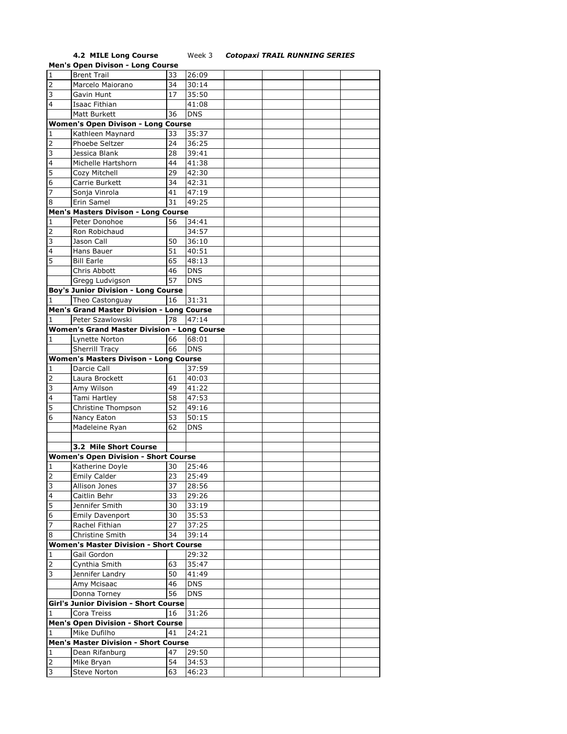## **4.2 MILE Long Course** Week 3 *Cotopaxi TRAIL RUNNING SERIES*

|                | <b>Men's Open Divison - Long Course</b>            |    |            |  |  |
|----------------|----------------------------------------------------|----|------------|--|--|
| $\mathbf 1$    | <b>Brent Trail</b>                                 | 33 | 26:09      |  |  |
| $\overline{2}$ | Marcelo Maiorano                                   | 34 | 30:14      |  |  |
| 3              | Gavin Hunt                                         | 17 | 35:50      |  |  |
| 4              | Isaac Fithian                                      |    | 41:08      |  |  |
|                | Matt Burkett                                       | 36 | <b>DNS</b> |  |  |
|                |                                                    |    |            |  |  |
|                | <b>Women's Open Divison - Long Course</b>          |    |            |  |  |
| 1              | Kathleen Maynard                                   | 33 | 35:37      |  |  |
| 2              | Phoebe Seltzer                                     | 24 | 36:25      |  |  |
| 3              | Jessica Blank                                      | 28 | 39:41      |  |  |
| 4              | Michelle Hartshorn                                 | 44 | 41:38      |  |  |
| 5              | Cozy Mitchell                                      | 29 | 42:30      |  |  |
| 6              | Carrie Burkett                                     | 34 | 42:31      |  |  |
| 7              | Sonja Vinrola                                      | 41 | 47:19      |  |  |
| 8              | Erin Samel                                         | 31 | 49:25      |  |  |
|                | Men's Masters Divison - Long Course                |    |            |  |  |
| 1              | Peter Donohoe                                      | 56 | 34:41      |  |  |
| $\overline{2}$ |                                                    |    |            |  |  |
|                | Ron Robichaud                                      |    | 34:57      |  |  |
| 3              | Jason Call                                         | 50 | 36:10      |  |  |
| 4              | Hans Bauer                                         | 51 | 40:51      |  |  |
| 5              | <b>Bill Earle</b>                                  | 65 | 48:13      |  |  |
|                | Chris Abbott                                       | 46 | <b>DNS</b> |  |  |
|                | Gregg Ludvigson                                    | 57 | <b>DNS</b> |  |  |
|                | <b>Boy's Junior Division - Long Course</b>         |    |            |  |  |
| 1              | Theo Castonguay                                    | 16 | 31:31      |  |  |
|                | <b>Men's Grand Master Division - Long Course</b>   |    |            |  |  |
| 1              | Peter Szawlowski                                   | 78 | 47:14      |  |  |
|                | <b>Women's Grand Master Division - Long Course</b> |    |            |  |  |
| 1              | Lynette Norton                                     | 66 | 68:01      |  |  |
|                | Sherrill Tracy                                     | 66 | <b>DNS</b> |  |  |
|                | <b>Women's Masters Divison - Long Course</b>       |    |            |  |  |
| 1              | Darcie Call                                        |    | 37:59      |  |  |
| 2              | Laura Brockett                                     | 61 | 40:03      |  |  |
| 3              | Amy Wilson                                         | 49 | 41:22      |  |  |
| 4              | Tami Hartley                                       | 58 | 47:53      |  |  |
| 5              | Christine Thompson                                 | 52 | 49:16      |  |  |
| 6              | Nancy Eaton                                        | 53 | 50:15      |  |  |
|                | Madeleine Ryan                                     | 62 | <b>DNS</b> |  |  |
|                |                                                    |    |            |  |  |
|                | 3.2 Mile Short Course                              |    |            |  |  |
|                | <b>Women's Open Division - Short Course</b>        |    |            |  |  |
|                |                                                    |    |            |  |  |
| 1              | Katherine Doyle                                    | 30 | 25:46      |  |  |
| $\mathfrak{p}$ | Emily Calder                                       | 23 | 25:49      |  |  |
| 3              | Allison Jones                                      | 37 | 28:56      |  |  |
| 4              | Caitlin Behr                                       | 33 | 29:26      |  |  |
| 5              | Jennifer Smith                                     | 30 | 33:19      |  |  |
| 6              | <b>Emily Davenport</b>                             | 30 | 35:53      |  |  |
| 7              | Rachel Fithian                                     | 27 | 37:25      |  |  |
| 8              | Christine Smith                                    | 34 | 39:14      |  |  |
|                | <b>Women's Master Division - Short Course</b>      |    |            |  |  |
| 1              | Gail Gordon                                        |    | 29:32      |  |  |
| $\overline{2}$ | Cynthia Smith                                      | 63 | 35:47      |  |  |
| 3              | Jennifer Landry                                    | 50 | 41:49      |  |  |
|                | Amy Mcisaac                                        | 46 | <b>DNS</b> |  |  |
|                | Donna Torney                                       | 56 | <b>DNS</b> |  |  |
|                | <b>Girl's Junior Division - Short Course</b>       |    |            |  |  |
| 1              | Cora Treiss                                        | 16 | 31:26      |  |  |
|                | <b>Men's Open Division - Short Course</b>          |    |            |  |  |
| $\mathbf{1}$   | Mike Dufilho                                       | 41 | 24:21      |  |  |
|                | <b>Men's Master Division - Short Course</b>        |    |            |  |  |
| 1              | Dean Rifanburg                                     | 47 | 29:50      |  |  |
| $\overline{2}$ | Mike Bryan                                         | 54 | 34:53      |  |  |
| 3              |                                                    |    |            |  |  |
|                | Steve Norton                                       | 63 | 46:23      |  |  |